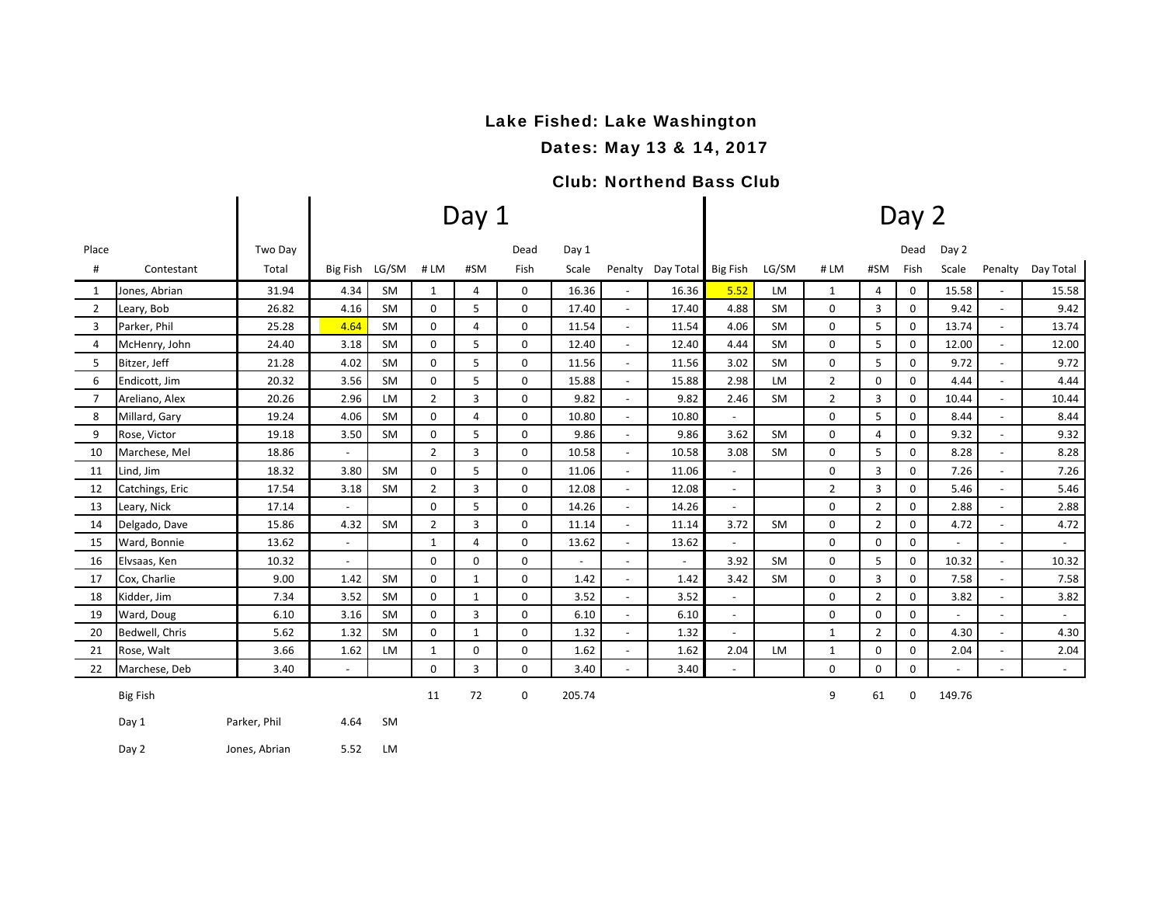# Lake Fished: Lake Washington

Dates: May 13 & 14, 2017

## Club: Northend Bass Club

|                |                 |         |                          |           |                | Day 1 |             | Day 2                    |                          |                            |                          |           |                |                |          |                          |                          |                             |
|----------------|-----------------|---------|--------------------------|-----------|----------------|-------|-------------|--------------------------|--------------------------|----------------------------|--------------------------|-----------|----------------|----------------|----------|--------------------------|--------------------------|-----------------------------|
| Place          |                 | Two Day |                          |           |                |       | Dead        | Day 1                    |                          |                            |                          |           |                |                | Dead     | Day 2                    |                          |                             |
| #              | Contestant      | Total   | Big Fish LG/SM           |           | #LM            | #SM   | Fish        | Scale                    |                          | Penalty Day Total Big Fish |                          | LG/SM     | #LM            | #SM            | Fish     | Scale                    | Penalty                  | Day Total                   |
| 1              | Jones, Abrian   | 31.94   | 4.34                     | SM        | $\mathbf{1}$   | 4     | 0           | 16.36                    | $\overline{\phantom{a}}$ | 16.36                      | 5.52                     | LM        | 1              | $\overline{4}$ | 0        | 15.58                    | $\sim$                   | 15.58                       |
| $\overline{2}$ | Leary, Bob      | 26.82   | 4.16                     | <b>SM</b> | 0              | 5     | 0           | 17.40                    |                          | 17.40                      | 4.88                     | <b>SM</b> | 0              | 3              | 0        | 9.42                     | $\overline{\phantom{a}}$ | 9.42                        |
| 3              | Parker, Phil    | 25.28   | 4.64                     | <b>SM</b> | 0              | 4     | 0           | 11.54                    | $\overline{\phantom{a}}$ | 11.54                      | 4.06                     | <b>SM</b> | $\Omega$       | 5              | 0        | 13.74                    | $\overline{\phantom{a}}$ | 13.74                       |
| 4              | McHenry, John   | 24.40   | 3.18                     | SM        | 0              | 5     | 0           | 12.40                    | $\overline{\phantom{a}}$ | 12.40                      | 4.44                     | SM        | 0              | 5              | 0        | 12.00                    | $\sim$                   | 12.00                       |
| 5              | Bitzer, Jeff    | 21.28   | 4.02                     | SM        | 0              | 5     | 0           | 11.56                    |                          | 11.56                      | 3.02                     | <b>SM</b> | 0              | 5              | 0        | 9.72                     | $\overline{\phantom{a}}$ | 9.72                        |
| 6              | Endicott, Jim   | 20.32   | 3.56                     | <b>SM</b> | $\mathbf 0$    | 5     | $\mathbf 0$ | 15.88                    | $\overline{\phantom{a}}$ | 15.88                      | 2.98                     | <b>LM</b> | $\overline{2}$ | $\mathbf 0$    | 0        | 4.44                     | $\overline{\phantom{a}}$ | 4.44                        |
| $\overline{7}$ | Areliano, Alex  | 20.26   | 2.96                     | LM        | $\overline{2}$ | 3     | 0           | 9.82                     | $\overline{\phantom{a}}$ | 9.82                       | 2.46                     | SM        | $\overline{2}$ | 3              | 0        | 10.44                    | $\overline{\phantom{a}}$ | 10.44                       |
| 8              | Millard, Gary   | 19.24   | 4.06                     | SM        | 0              | 4     | 0           | 10.80                    | $\overline{\phantom{a}}$ | 10.80                      | $\overline{\phantom{a}}$ |           | 0              | 5              | 0        | 8.44                     | $\overline{\phantom{a}}$ | 8.44                        |
| 9              | Rose, Victor    | 19.18   | 3.50                     | <b>SM</b> | 0              | 5     | 0           | 9.86                     | $\overline{\phantom{a}}$ | 9.86                       | 3.62                     | <b>SM</b> | 0              | $\overline{4}$ | 0        | 9.32                     | $\overline{\phantom{a}}$ | 9.32                        |
| 10             | Marchese, Mel   | 18.86   | $\overline{\phantom{0}}$ |           | $\overline{2}$ | 3     | 0           | 10.58                    | $\overline{\phantom{a}}$ | 10.58                      | 3.08                     | SM        | 0              | 5              | 0        | 8.28                     | $\overline{\phantom{a}}$ | 8.28                        |
| 11             | Lind, Jim       | 18.32   | 3.80                     | SM        | 0              | 5     | 0           | 11.06                    | $\overline{\phantom{a}}$ | 11.06                      |                          |           | $\Omega$       | 3              | 0        | 7.26                     |                          | 7.26                        |
| 12             | Catchings, Eric | 17.54   | 3.18                     | SM        | $\overline{2}$ | 3     | 0           | 12.08                    | $\overline{\phantom{a}}$ | 12.08                      | $\overline{\phantom{a}}$ |           | $\overline{2}$ | $\overline{3}$ | 0        | 5.46                     | $\blacksquare$           | 5.46                        |
| 13             | Leary, Nick     | 17.14   | $\overline{\phantom{a}}$ |           | 0              | 5     | 0           | 14.26                    | $\overline{\phantom{a}}$ | 14.26                      | $\overline{\phantom{a}}$ |           | 0              | $\overline{2}$ | 0        | 2.88                     | $\overline{\phantom{a}}$ | 2.88                        |
| 14             | Delgado, Dave   | 15.86   | 4.32                     | SM        | $\overline{2}$ | 3     | 0           | 11.14                    | $\overline{\phantom{a}}$ | 11.14                      | 3.72                     | <b>SM</b> | $\Omega$       | $\overline{2}$ | 0        | 4.72                     | $\overline{\phantom{a}}$ | 4.72                        |
| 15             | Ward, Bonnie    | 13.62   | $\overline{\phantom{a}}$ |           | 1              | 4     | 0           | 13.62                    | $\overline{\phantom{a}}$ | 13.62                      | $\overline{\phantom{a}}$ |           | 0              | 0              | 0        | $\sim$                   | $\overline{\phantom{a}}$ | $\sim$                      |
| 16             | Elvsaas, Ken    | 10.32   | $\overline{\phantom{0}}$ |           | 0              | 0     | 0           | $\overline{\phantom{a}}$ | $\overline{\phantom{a}}$ | $\overline{\phantom{a}}$   | 3.92                     | SM        | 0              | 5              | 0        | 10.32                    | $\overline{\phantom{a}}$ | 10.32                       |
| 17             | Cox, Charlie    | 9.00    | 1.42                     | SM        | 0              | 1     | $\Omega$    | 1.42                     | $\overline{\phantom{a}}$ | 1.42                       | 3.42                     | <b>SM</b> | $\Omega$       | 3              | $\Omega$ | 7.58                     | $\overline{\phantom{a}}$ | 7.58                        |
| 18             | Kidder, Jim     | 7.34    | 3.52                     | <b>SM</b> | 0              | 1     | 0           | 3.52                     | $\overline{\phantom{a}}$ | 3.52                       | $\overline{\phantom{a}}$ |           | 0              | $\overline{2}$ | 0        | 3.82                     | $\sim$                   | 3.82                        |
| 19             | Ward, Doug      | 6.10    | 3.16                     | SM        | 0              | 3     | 0           | 6.10                     | $\overline{\phantom{a}}$ | 6.10                       | $\overline{\phantom{a}}$ |           | 0              | 0              | 0        | $\overline{\phantom{a}}$ | $\overline{\phantom{a}}$ | $\sim$                      |
| 20             | Bedwell, Chris  | 5.62    | 1.32                     | <b>SM</b> | 0              | 1     | $\Omega$    | 1.32                     | $\overline{\phantom{a}}$ | 1.32                       | $\overline{\phantom{a}}$ |           | $\mathbf{1}$   | $\overline{2}$ | 0        | 4.30                     | $\overline{\phantom{a}}$ | 4.30                        |
| 21             | Rose, Walt      | 3.66    | 1.62                     | LM        | 1              | 0     | 0           | 1.62                     | $\overline{\phantom{a}}$ | 1.62                       | 2.04                     | LM        | 1              | 0              | 0        | 2.04                     | $\overline{\phantom{a}}$ | 2.04                        |
| 22             | Marchese, Deb   | 3.40    | $\blacksquare$           |           | 0              | 3     | 0           | 3.40                     | $\overline{\phantom{a}}$ | 3.40                       | $\overline{\phantom{a}}$ |           | 0              | 0              | 0        |                          |                          | $\mathcal{L}_{\mathcal{A}}$ |
|                | <b>Big Fish</b> |         |                          |           | 11             | 72    | $\mathbf 0$ | 205.74                   |                          |                            |                          |           | 9              | 61             | 0        | 149.76                   |                          |                             |

Day 1 **Parker, Phil** 4.64 SM

Day 2 Jones, Abrian 5.52 LM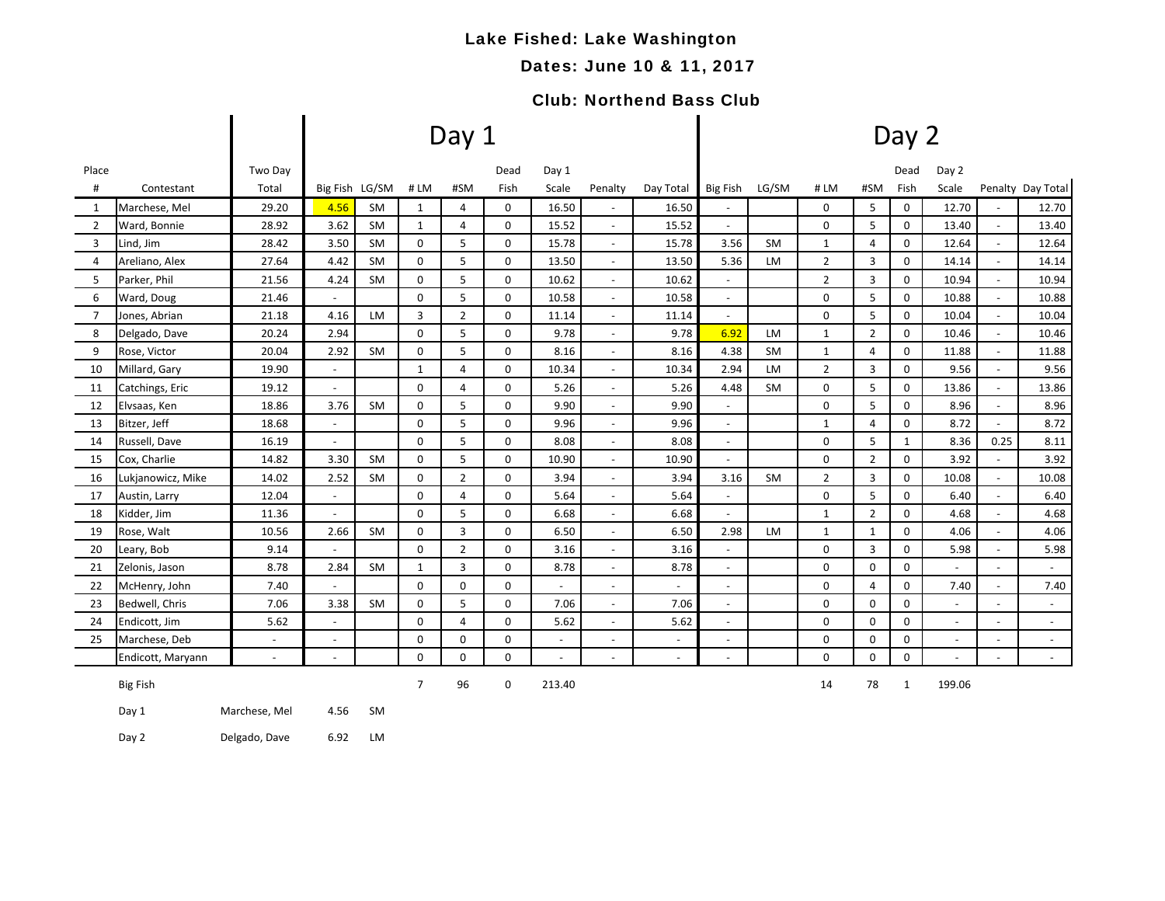# Lake Fished: Lake Washington

### Dates: June 10 & 11, 2017

## Club: Northend Bass Club

|                |                   |                          |                          |                |                | Day 1          |             |                          |                          | Day 2                    |                          |           |                |                |              |                          |                          |                          |  |
|----------------|-------------------|--------------------------|--------------------------|----------------|----------------|----------------|-------------|--------------------------|--------------------------|--------------------------|--------------------------|-----------|----------------|----------------|--------------|--------------------------|--------------------------|--------------------------|--|
| Place          |                   | Two Day                  |                          |                |                |                | Dead        | Day 1                    |                          |                          |                          |           |                |                | Dead         | Day 2                    |                          |                          |  |
| #              | Contestant        | Total                    |                          | Big Fish LG/SM | #LM            | #SM            | Fish        | Scale                    | Penalty                  | Day Total                | <b>Big Fish</b>          | LG/SM     | # LM           | #SM            | Fish         | Scale                    |                          | Penalty Day Total        |  |
| 1              | Marchese, Mel     | 29.20                    | 4.56                     | <b>SM</b>      | $\mathbf{1}$   | 4              | 0           | 16.50                    |                          | 16.50                    |                          |           | 0              | 5              | 0            | 12.70                    |                          | 12.70                    |  |
| $\overline{2}$ | Ward, Bonnie      | 28.92                    | 3.62                     | SM             | $\mathbf{1}$   | 4              | 0           | 15.52                    | $\blacksquare$           | 15.52                    | $\blacksquare$           |           | 0              | 5              | 0            | 13.40                    | $\blacksquare$           | 13.40                    |  |
| 3              | Lind, Jim         | 28.42                    | 3.50                     | <b>SM</b>      | 0              | 5              | $\mathbf 0$ | 15.78                    | $\sim$                   | 15.78                    | 3.56                     | <b>SM</b> | $\mathbf{1}$   | 4              | $\mathbf 0$  | 12.64                    | $\sim$                   | 12.64                    |  |
| $\overline{4}$ | Areliano, Alex    | 27.64                    | 4.42                     | <b>SM</b>      | $\mathbf 0$    | 5              | $\mathbf 0$ | 13.50                    | $\blacksquare$           | 13.50                    | 5.36                     | LM        | $\overline{2}$ | 3              | $\mathbf 0$  | 14.14                    | $\overline{\phantom{a}}$ | 14.14                    |  |
| 5              | Parker, Phil      | 21.56                    | 4.24                     | <b>SM</b>      | 0              | 5              | $\mathbf 0$ | 10.62                    | $\sim$                   | 10.62                    | $\overline{a}$           |           | $\overline{2}$ | 3              | $\mathbf 0$  | 10.94                    | $\overline{a}$           | 10.94                    |  |
| 6              | Ward, Doug        | 21.46                    |                          |                | 0              | 5              | 0           | 10.58                    | $\overline{\phantom{a}}$ | 10.58                    | $\sim$                   |           | 0              | 5              | 0            | 10.88                    | $\overline{\phantom{a}}$ | 10.88                    |  |
| $\overline{7}$ | Jones, Abrian     | 21.18                    | 4.16                     | LM             | 3              | $\overline{2}$ | $\mathbf 0$ | 11.14                    | $\overline{\phantom{a}}$ | 11.14                    | $ \,$                    |           | 0              | 5              | $\mathbf 0$  | 10.04                    | $\overline{\phantom{a}}$ | 10.04                    |  |
| 8              | Delgado, Dave     | 20.24                    | 2.94                     |                | 0              | 5              | 0           | 9.78                     | $\overline{\phantom{a}}$ | 9.78                     | 6.92                     | LM        | $\mathbf{1}$   | $\overline{2}$ | 0            | 10.46                    | $\overline{\phantom{a}}$ | 10.46                    |  |
| 9              | Rose, Victor      | 20.04                    | 2.92                     | <b>SM</b>      | 0              | 5              | $\mathbf 0$ | 8.16                     | $\sim$                   | 8.16                     | 4.38                     | <b>SM</b> | $\mathbf{1}$   | 4              | 0            | 11.88                    | $\overline{\phantom{a}}$ | 11.88                    |  |
| 10             | Millard, Gary     | 19.90                    | $\overline{\phantom{a}}$ |                | $\mathbf{1}$   | 4              | 0           | 10.34                    | $\overline{\phantom{a}}$ | 10.34                    | 2.94                     | LM        | $\overline{2}$ | 3              | 0            | 9.56                     | $\blacksquare$           | 9.56                     |  |
| 11             | Catchings, Eric   | 19.12                    | $\overline{\phantom{a}}$ |                | $\Omega$       | 4              | $\mathbf 0$ | 5.26                     | $\overline{\phantom{a}}$ | 5.26                     | 4.48                     | <b>SM</b> | 0              | 5              | $\mathbf 0$  | 13.86                    | $\blacksquare$           | 13.86                    |  |
| 12             | Elvsaas, Ken      | 18.86                    | 3.76                     | <b>SM</b>      | 0              | 5              | 0           | 9.90                     | $\blacksquare$           | 9.90                     | $\omega$                 |           | 0              | 5              | 0            | 8.96                     | $\overline{\phantom{a}}$ | 8.96                     |  |
| 13             | Bitzer, Jeff      | 18.68                    | $\sim$                   |                | 0              | 5              | $\mathbf 0$ | 9.96                     | $\sim$                   | 9.96                     | $\blacksquare$           |           | $\mathbf{1}$   | 4              | $\mathbf 0$  | 8.72                     | $\blacksquare$           | 8.72                     |  |
| 14             | Russell, Dave     | 16.19                    | $\overline{\phantom{a}}$ |                | 0              | 5              | 0           | 8.08                     | $\overline{\phantom{a}}$ | 8.08                     | $\overline{\phantom{a}}$ |           | 0              | 5              | $\mathbf{1}$ | 8.36                     | 0.25                     | 8.11                     |  |
| 15             | Cox, Charlie      | 14.82                    | 3.30                     | <b>SM</b>      | $\mathbf 0$    | 5              | $\mathbf 0$ | 10.90                    | $\overline{\phantom{a}}$ | 10.90                    | $\sim$                   |           | 0              | $\overline{2}$ | $\mathbf 0$  | 3.92                     | $\blacksquare$           | 3.92                     |  |
| 16             | Lukjanowicz, Mike | 14.02                    | 2.52                     | <b>SM</b>      | 0              | $\overline{2}$ | 0           | 3.94                     | $\overline{\phantom{a}}$ | 3.94                     | 3.16                     | <b>SM</b> | $\overline{2}$ | 3              | 0            | 10.08                    | $\overline{\phantom{a}}$ | 10.08                    |  |
| 17             | Austin, Larry     | 12.04                    | $\overline{\phantom{a}}$ |                | 0              | 4              | 0           | 5.64                     | $\overline{\phantom{a}}$ | 5.64                     | $\overline{\phantom{a}}$ |           | 0              | 5              | 0            | 6.40                     | $\overline{\phantom{a}}$ | 6.40                     |  |
| 18             | Kidder, Jim       | 11.36                    | $\overline{\phantom{a}}$ |                | 0              | 5              | $\mathbf 0$ | 6.68                     | $\overline{\phantom{a}}$ | 6.68                     | $\blacksquare$           |           | $\mathbf{1}$   | $\overline{2}$ | 0            | 4.68                     | $\blacksquare$           | 4.68                     |  |
| 19             | Rose, Walt        | 10.56                    | 2.66                     | <b>SM</b>      | 0              | 3              | 0           | 6.50                     | $\overline{\phantom{a}}$ | 6.50                     | 2.98                     | LM        | $\mathbf{1}$   | $\mathbf{1}$   | $\mathbf 0$  | 4.06                     | $\blacksquare$           | 4.06                     |  |
| 20             | Leary, Bob        | 9.14                     | $\sim$                   |                | 0              | $\overline{2}$ | $\mathbf 0$ | 3.16                     | $\blacksquare$           | 3.16                     | $\blacksquare$           |           | 0              | $\overline{3}$ | 0            | 5.98                     | $\blacksquare$           | 5.98                     |  |
| 21             | Zelonis, Jason    | 8.78                     | 2.84                     | SM             | 1              | 3              | 0           | 8.78                     | $\overline{\phantom{a}}$ | 8.78                     | $\overline{\phantom{a}}$ |           | 0              | 0              | 0            |                          | $\blacksquare$           |                          |  |
| 22             | McHenry, John     | 7.40                     | $\sim$                   |                | 0              | 0              | $\mathbf 0$ | $\sim$                   | $\blacksquare$           | $\overline{\phantom{a}}$ | $\blacksquare$           |           | 0              | 4              | 0            | 7.40                     | $\blacksquare$           | 7.40                     |  |
| 23             | Bedwell, Chris    | 7.06                     | 3.38                     | <b>SM</b>      | 0              | 5              | 0           | 7.06                     | $\sim$                   | 7.06                     | $\sim$                   |           | 0              | 0              | 0            | $\overline{\phantom{a}}$ | $\overline{a}$           | $\overline{\phantom{a}}$ |  |
| 24             | Endicott, Jim     | 5.62                     | $\sim$                   |                | 0              | 4              | $\mathbf 0$ | 5.62                     | $\overline{\phantom{a}}$ | 5.62                     | $\overline{\phantom{a}}$ |           | 0              | 0              | 0            | $\sim$                   | $\blacksquare$           | $\sim$                   |  |
| 25             | Marchese, Deb     | $\overline{\phantom{a}}$ | $\overline{\phantom{a}}$ |                | 0              | 0              | 0           | $\overline{\phantom{a}}$ | $\overline{\phantom{a}}$ | $\overline{\phantom{a}}$ | $\overline{\phantom{a}}$ |           | 0              | 0              | 0            | $\sim$                   | $\sim$                   | $\sim$                   |  |
|                | Endicott, Maryann | $\overline{\phantom{a}}$ | $\overline{\phantom{a}}$ |                | 0              | 0              | $\mathbf 0$ | $\overline{\phantom{a}}$ | $\sim$                   | $\overline{\phantom{a}}$ | $\overline{\phantom{a}}$ |           | 0              | 0              | 0            | $\blacksquare$           | $\overline{\phantom{a}}$ | $\sim$                   |  |
|                | <b>Big Fish</b>   |                          |                          |                | $\overline{7}$ | 96             | 0           | 213.40                   |                          |                          |                          |           | 14             | 78             | 1            | 199.06                   |                          |                          |  |
|                | Day 1             | Marchese, Mel            | 4.56                     | <b>SM</b>      |                |                |             |                          |                          |                          |                          |           |                |                |              |                          |                          |                          |  |
|                | Day 2             | Delgado, Dave            | 6.92                     | LM             |                |                |             |                          |                          |                          |                          |           |                |                |              |                          |                          |                          |  |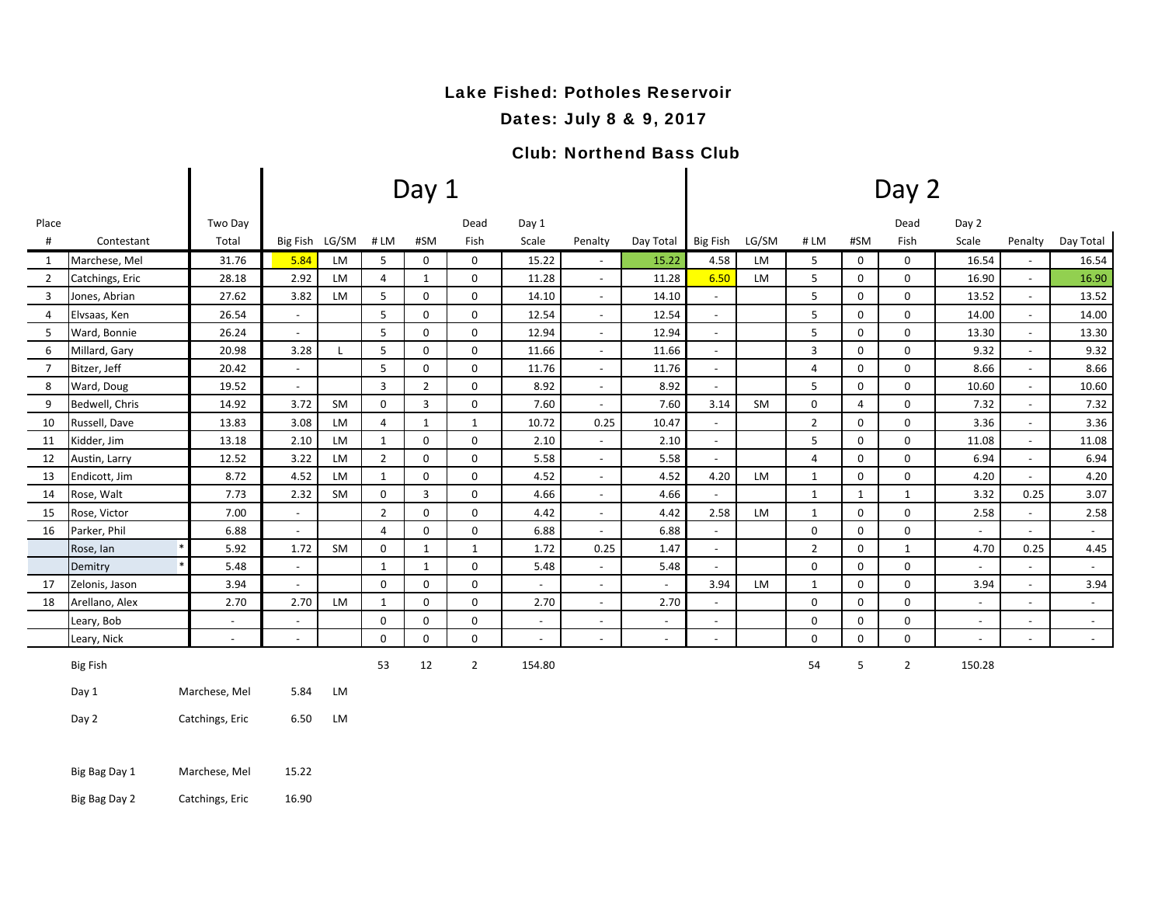#### Lake Fished: Potholes Reservoir

#### Dates: July 8 & 9, 2017

#### Club: Northend Bass Club

|                |                                  |                |                          |           |                | Day 1          |                |                |                          | Day 2     |                          |           |                |              |                |                |                          |                          |  |
|----------------|----------------------------------|----------------|--------------------------|-----------|----------------|----------------|----------------|----------------|--------------------------|-----------|--------------------------|-----------|----------------|--------------|----------------|----------------|--------------------------|--------------------------|--|
| Place          |                                  | Two Day        |                          |           |                |                | Dead           | Day 1          |                          |           |                          |           |                |              | Dead           | Day 2          |                          |                          |  |
| $\#$           | Contestant                       | Total          | <b>Big Fish</b>          | LG/SM     | #LM            | #SM            | Fish           | Scale          | Penalty                  | Day Total | <b>Big Fish</b>          | LG/SM     | # LM           | #SM          | Fish           | Scale          | Penalty                  | Day Total                |  |
| 1              | Marchese, Mel                    | 31.76          | 5.84                     | LM        | 5              | 0              | 0              | 15.22          | $\overline{\phantom{a}}$ | 15.22     | 4.58                     | <b>LM</b> | 5              | $\mathbf 0$  | 0              | 16.54          |                          | 16.54                    |  |
| $\overline{2}$ | Catchings, Eric                  | 28.18          | 2.92                     | LM        | 4              | 1              | $\mathbf 0$    | 11.28          | $\overline{\phantom{a}}$ | 11.28     | 6.50                     | LM        | 5              | $\mathbf 0$  | $\mathsf 0$    | 16.90          | $\overline{\phantom{a}}$ | 16.90                    |  |
| 3              | Jones, Abrian                    | 27.62          | 3.82                     | LM        | 5              | 0              | $\mathbf 0$    | 14.10          | $\overline{\phantom{a}}$ | 14.10     | $\overline{\phantom{a}}$ |           | 5              | 0            | 0              | 13.52          | $\sim$                   | 13.52                    |  |
| $\overline{4}$ | Elvsaas, Ken                     | 26.54          | $\overline{\phantom{a}}$ |           | 5              | 0              | 0              | 12.54          | $\overline{\phantom{a}}$ | 12.54     | $\sim$                   |           | 5              | 0            | 0              | 14.00          | $\overline{\phantom{a}}$ | 14.00                    |  |
| 5              | Ward, Bonnie                     | 26.24          | $\sim$                   |           | 5              | 0              | 0              | 12.94          | $\overline{\phantom{a}}$ | 12.94     | $\sim$                   |           | 5              | 0            | 0              | 13.30          | $\sim$                   | 13.30                    |  |
| 6              | Millard, Gary                    | 20.98          | 3.28                     |           | 5              | 0              | 0              | 11.66          | $\blacksquare$           | 11.66     | $\sim$                   |           | 3              | 0            | 0              | 9.32           | $\overline{\phantom{a}}$ | 9.32                     |  |
| $\overline{7}$ | Bitzer, Jeff                     | 20.42          | $\overline{\phantom{a}}$ |           | 5              | 0              | 0              | 11.76          | $\blacksquare$           | 11.76     | $\sim$                   |           | 4              | 0            | $\mathbf 0$    | 8.66           | $\overline{\phantom{a}}$ | 8.66                     |  |
| 8              | Ward, Doug                       | 19.52          | $\blacksquare$           |           | $\overline{3}$ | $\overline{2}$ | $\mathbf 0$    | 8.92           | $\overline{\phantom{a}}$ | 8.92      | $\sim$                   |           | 5              | 0            | $\mathsf 0$    | 10.60          | $\overline{\phantom{a}}$ | 10.60                    |  |
| 9              | Bedwell, Chris                   | 14.92          | 3.72                     | SM        | $\mathbf 0$    | 3              | 0              | 7.60           | $\overline{\phantom{a}}$ | 7.60      | 3.14                     | SM        | $\mathbf 0$    | 4            | 0              | 7.32           | $\overline{\phantom{a}}$ | 7.32                     |  |
| 10             | Russell, Dave                    | 13.83          | 3.08                     | LM        | $\overline{4}$ | $\mathbf{1}$   | $\mathbf{1}$   | 10.72          | 0.25                     | 10.47     | $\overline{\phantom{a}}$ |           | $\overline{2}$ | 0            | 0              | 3.36           | $\sim$                   | 3.36                     |  |
| 11             | Kidder, Jim                      | 13.18          | 2.10                     | LM        | $\mathbf{1}$   | 0              | $\mathbf 0$    | 2.10           | $\sim$                   | 2.10      | $\sim$                   |           | 5              | 0            | $\mathbf 0$    | 11.08          |                          | 11.08                    |  |
| 12             | Austin, Larry                    | 12.52          | 3.22                     | LM        | $\overline{2}$ | $\mathbf 0$    | 0              | 5.58           | $\overline{\phantom{a}}$ | 5.58      | $\sim$                   |           | $\overline{4}$ | 0            | 0              | 6.94           |                          | 6.94                     |  |
| 13             | Endicott, Jim                    | 8.72           | 4.52                     | LM        | $\mathbf{1}$   | 0              | 0              | 4.52           | $\blacksquare$           | 4.52      | 4.20                     | <b>LM</b> | $\mathbf{1}$   | $\mathbf 0$  | 0              | 4.20           | $\blacksquare$           | 4.20                     |  |
| 14             | Rose, Walt                       | 7.73           | 2.32                     | SM        | $\mathbf 0$    | 3              | 0              | 4.66           | $\overline{\phantom{a}}$ | 4.66      | $\overline{\phantom{a}}$ |           | $\mathbf{1}$   | $\mathbf{1}$ | $\mathbf{1}$   | 3.32           | 0.25                     | 3.07                     |  |
| 15             | Rose, Victor                     | 7.00           | $\blacksquare$           |           | $\overline{2}$ | $\mathbf 0$    | 0              | 4.42           | $\overline{\phantom{a}}$ | 4.42      | 2.58                     | LM        | $\mathbf{1}$   | $\mathbf 0$  | $\mathsf 0$    | 2.58           | $\sim$                   | 2.58                     |  |
| 16             | Parker, Phil                     | 6.88           | $\overline{\phantom{a}}$ |           | 4              | 0              | 0              | 6.88           | $\overline{\phantom{a}}$ | 6.88      | $\overline{\phantom{a}}$ |           | $\mathsf 0$    | 0            | 0              | $\blacksquare$ | $\overline{\phantom{a}}$ | $\sim$                   |  |
|                | Rose, Ian<br>$\ast$              | 5.92           | 1.72                     | SM        | $\mathbf 0$    | $\mathbf{1}$   | $\mathbf{1}$   | 1.72           | 0.25                     | 1.47      | $\sim$                   |           | $\overline{2}$ | 0            | $\mathbf{1}$   | 4.70           | 0.25                     | 4.45                     |  |
|                | Demitry                          | 5.48           | $\overline{\phantom{a}}$ |           | $\mathbf{1}$   | $\mathbf{1}$   | 0              | 5.48           | $\blacksquare$           | 5.48      | $\blacksquare$           |           | $\mathsf 0$    | 0            | 0              | $\sim$         | $\overline{\phantom{a}}$ | $\sim$                   |  |
| 17             | Zelonis, Jason                   | 3.94           | $\overline{\phantom{a}}$ |           | $\mathsf 0$    | 0              | $\mathbf 0$    | $\sim$         | $\overline{\phantom{a}}$ | $\sim$    | 3.94                     | LM        | $\mathbf{1}$   | 0            | $\mathbf 0$    | 3.94           | $\overline{\phantom{a}}$ | 3.94                     |  |
| 18             | Arellano, Alex                   | 2.70           | 2.70                     | LM        | 1              | 0              | 0              | 2.70           | $\blacksquare$           | 2.70      | $\overline{\phantom{a}}$ |           | $\mathbf 0$    | 0            | 0              |                |                          | $\overline{\phantom{a}}$ |  |
|                | Leary, Bob                       | $\blacksquare$ | $\blacksquare$           |           | $\mathbf 0$    | 0              | 0              | $\blacksquare$ | $\blacksquare$           |           | $\sim$                   |           | $\mathsf 0$    | 0            | $\mathbf 0$    | $\blacksquare$ |                          | $\sim$                   |  |
|                | Leary, Nick                      | $\sim$         | $\sim$                   |           | $\Omega$       | $\Omega$       | $\mathbf 0$    | $\sim$         |                          |           | $\sim$                   |           | $\mathbf 0$    | $\Omega$     | $\mathbf 0$    |                |                          | $\sim$                   |  |
|                | <b>Big Fish</b>                  |                |                          |           | 53             | 12             | $\overline{2}$ | 154.80         |                          |           |                          |           | 54             | 5            | $\overline{2}$ | 150.28         |                          |                          |  |
|                | Day 1                            | Marchese, Mel  | 5.84                     | LM        |                |                |                |                |                          |           |                          |           |                |              |                |                |                          |                          |  |
|                | Day 2<br>Catchings, Eric         |                | 6.50                     | <b>LM</b> |                |                |                |                |                          |           |                          |           |                |              |                |                |                          |                          |  |
|                | Big Bag Day 1                    | Marchese, Mel  | 15.22                    |           |                |                |                |                |                          |           |                          |           |                |              |                |                |                          |                          |  |
|                | Big Bag Day 2<br>Catchings, Eric |                | 16.90                    |           |                |                |                |                |                          |           |                          |           |                |              |                |                |                          |                          |  |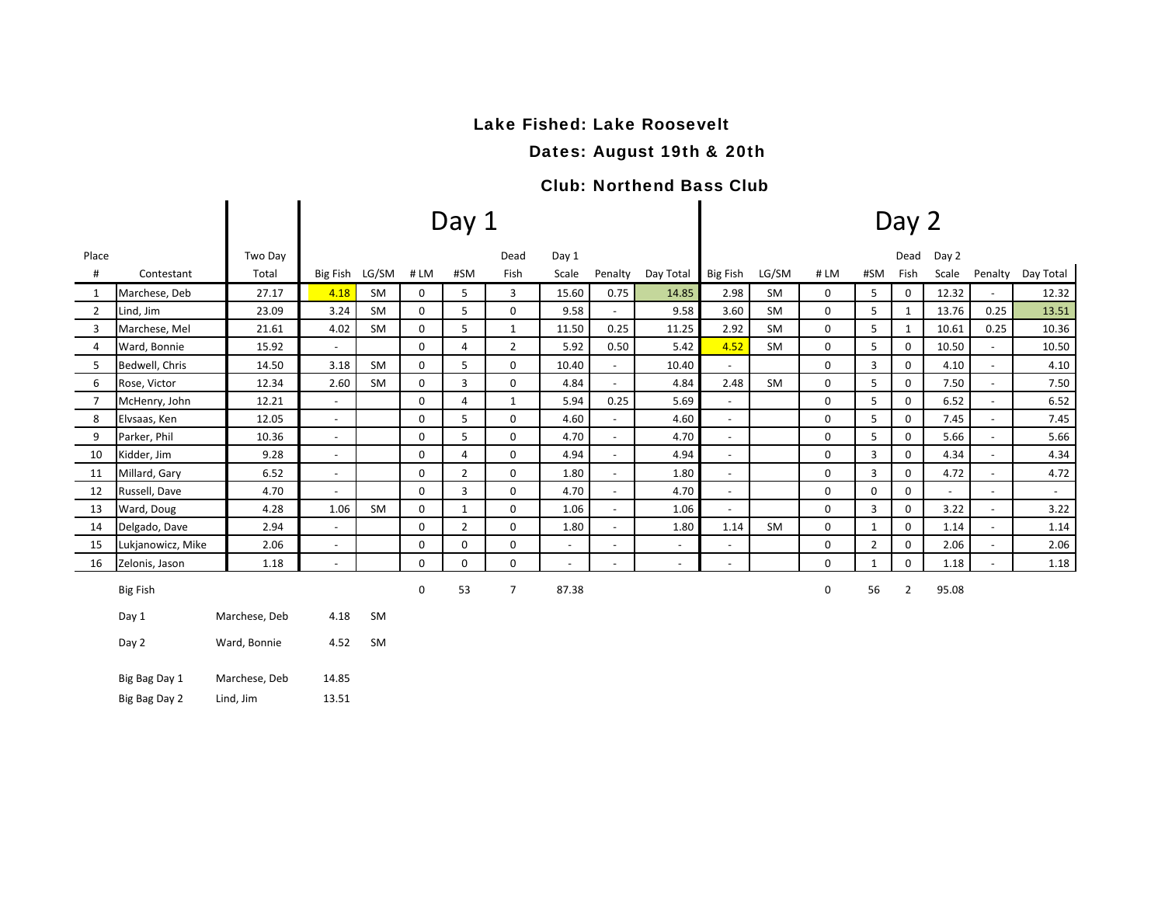## Lake Fished: Lake Roosevelt

Dates: August 19th & 20th

### Club: Northend Bass Club

|                |                   |               |                          |           |             | Day 1          |                | Day 2                    |                          |                |                          |           |     |              |              |                |                          |                   |
|----------------|-------------------|---------------|--------------------------|-----------|-------------|----------------|----------------|--------------------------|--------------------------|----------------|--------------------------|-----------|-----|--------------|--------------|----------------|--------------------------|-------------------|
| Place          |                   | Two Day       |                          |           |             |                | Dead           | Day 1                    |                          |                |                          |           |     |              | Dead         | Day 2          |                          |                   |
| #              | Contestant        | Total         | Big Fish LG/SM           |           | #LM         | #SM            | Fish           | Scale                    | Penalty                  | Day Total      | Big Fish                 | LG/SM     | #LM | #SM          | Fish         | Scale          |                          | Penalty Day Total |
| 1              | Marchese, Deb     | 27.17         | 4.18                     | SM        | 0           | 5              | 3              | 15.60                    | 0.75                     | 14.85          | 2.98                     | SM        | 0   | 5            | 0            | 12.32          | $\overline{\phantom{a}}$ | 12.32             |
| $\overline{2}$ | Lind, Jim         | 23.09         | 3.24                     | <b>SM</b> | 0           | 5              | 0              | 9.58                     | $\blacksquare$           | 9.58           | 3.60                     | <b>SM</b> | 0   | 5            | $\mathbf{1}$ | 13.76          | 0.25                     | 13.51             |
| 3              | Marchese, Mel     | 21.61         | 4.02                     | <b>SM</b> | $\mathbf 0$ | 5              | $\mathbf{1}$   | 11.50                    | 0.25                     | 11.25          | 2.92                     | <b>SM</b> | 0   | 5            | 1            | 10.61          | 0.25                     | 10.36             |
| $\overline{4}$ | Ward, Bonnie      | 15.92         | $\blacksquare$           |           | 0           | 4              | $\overline{2}$ | 5.92                     | 0.50                     | 5.42           | 4.52                     | <b>SM</b> | 0   | 5            | $\mathbf{0}$ | 10.50          | $\overline{\phantom{a}}$ | 10.50             |
| 5              | Bedwell, Chris    | 14.50         | 3.18                     | <b>SM</b> | $\mathbf 0$ | 5              | 0              | 10.40                    | $\blacksquare$           | 10.40          | $\blacksquare$           |           | 0   | 3            | 0            | 4.10           | $\overline{\phantom{a}}$ | 4.10              |
| 6              | Rose, Victor      | 12.34         | 2.60                     | <b>SM</b> | $\mathbf 0$ | 3              | $\mathbf 0$    | 4.84                     | $\blacksquare$           | 4.84           | 2.48                     | <b>SM</b> | 0   | 5            | $\mathbf 0$  | 7.50           | $\sim$                   | 7.50              |
| $\overline{7}$ | McHenry, John     | 12.21         | $\overline{\phantom{a}}$ |           | 0           | 4              | $\mathbf{1}$   | 5.94                     | 0.25                     | 5.69           | $\blacksquare$           |           | 0   | 5            | 0            | 6.52           | $\sim$                   | 6.52              |
| 8              | Elvsaas, Ken      | 12.05         | $\blacksquare$           |           | $\mathbf 0$ | 5              | $\mathbf 0$    | 4.60                     | $\blacksquare$           | 4.60           | $\blacksquare$           |           | 0   | 5            | 0            | 7.45           | $\overline{\phantom{a}}$ | 7.45              |
| 9              | Parker, Phil      | 10.36         | $\sim$                   |           | 0           | 5              | 0              | 4.70                     | $\overline{\phantom{a}}$ | 4.70           | $\overline{\phantom{a}}$ |           | 0   | 5            | 0            | 5.66           | $\sim$                   | 5.66              |
| 10             | Kidder, Jim       | 9.28          | $\overline{\phantom{a}}$ |           | $\mathbf 0$ | 4              | 0              | 4.94                     | $\overline{\phantom{a}}$ | 4.94           | $\overline{\phantom{a}}$ |           | 0   | 3            | 0            | 4.34           | $\overline{\phantom{a}}$ | 4.34              |
| 11             | Millard, Gary     | 6.52          | $\overline{\phantom{a}}$ |           | $\mathbf 0$ | $\overline{2}$ | $\mathbf 0$    | 1.80                     | $\overline{\phantom{a}}$ | 1.80           | $\sim$                   |           | 0   | 3            | 0            | 4.72           | $\overline{\phantom{a}}$ | 4.72              |
| 12             | Russell, Dave     | 4.70          | $\overline{\phantom{a}}$ |           | $\mathbf 0$ | 3              | $\mathbf 0$    | 4.70                     | $\blacksquare$           | 4.70           | $\blacksquare$           |           | 0   | 0            | 0            | $\blacksquare$ | $\sim$                   | $\sim$            |
| 13             | Ward, Doug        | 4.28          | 1.06                     | <b>SM</b> | $\mathbf 0$ | $\mathbf{1}$   | 0              | 1.06                     | $\sim$                   | 1.06           | $\sim$                   |           | 0   | 3            | 0            | 3.22           | $\sim$                   | 3.22              |
| 14             | Delgado, Dave     | 2.94          | $\blacksquare$           |           | $\mathbf 0$ | $\overline{2}$ | $\mathbf 0$    | 1.80                     | $\blacksquare$           | 1.80           | 1.14                     | <b>SM</b> | 0   | $\mathbf{1}$ | 0            | 1.14           | $\overline{\phantom{a}}$ | 1.14              |
| 15             | Lukjanowicz, Mike | 2.06          | $\blacksquare$           |           | 0           | $\Omega$       | 0              | $\overline{\phantom{a}}$ | $\overline{\phantom{a}}$ | $\sim$         | $\blacksquare$           |           | 0   | 2            | 0            | 2.06           | $\sim$                   | 2.06              |
| 16             | Zelonis, Jason    | 1.18          | $\blacksquare$           |           | $\mathbf 0$ | 0              | $\mathbf 0$    | $\overline{\phantom{a}}$ | $\overline{\phantom{a}}$ | $\blacksquare$ | $\overline{\phantom{a}}$ |           | 0   | 1            | 0            | 1.18           | $\overline{\phantom{a}}$ | 1.18              |
|                | <b>Big Fish</b>   |               |                          |           | 0           | 53             | $\overline{7}$ | 87.38                    |                          |                |                          |           | 0   | 56           | $\mathbf{2}$ | 95.08          |                          |                   |
|                | Day 1             | Marchese, Deb | 4.18                     | SM        |             |                |                |                          |                          |                |                          |           |     |              |              |                |                          |                   |
|                | Day 2             | Ward, Bonnie  | 4.52                     | SM        |             |                |                |                          |                          |                |                          |           |     |              |              |                |                          |                   |
|                | Big Bag Day 1     | Marchese, Deb | 14.85                    |           |             |                |                |                          |                          |                |                          |           |     |              |              |                |                          |                   |
|                | Big Bag Day 2     | Lind, Jim     | 13.51                    |           |             |                |                |                          |                          |                |                          |           |     |              |              |                |                          |                   |